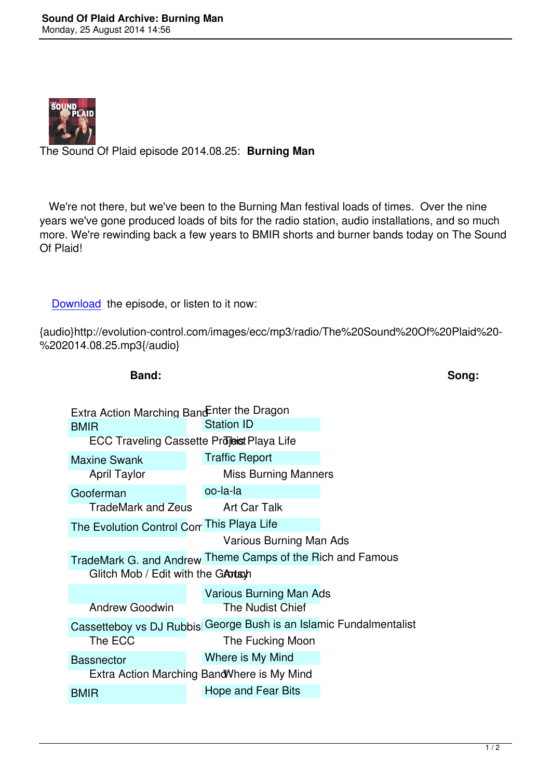

The Sound Of Plaid episode 2014.08.25: **Burning Man**

 We're not there, but we've been to the Burning Man festival loads of times. Over the nine years we've gone produced loads of bits for the radio station, audio installations, and so much more. We're rewinding back a few years to BMIR shorts and burner bands today on The Sound Of Plaid!

Download the episode, or listen to it now:

{audio}http://evolution-control.com/images/ecc/mp3/radio/The%20Sound%20Of%20Plaid%20- %[202014.08](http://evolution-control.com/images/ecc/mp3/radio/The%20Sound%20Of%20Plaid%20-%202014.08.25.mp3).25.mp3{/audio}

| Band:                                       |                                                                    | Song: |
|---------------------------------------------|--------------------------------------------------------------------|-------|
| Extra Action Marching Band Enter the Dragon |                                                                    |       |
| <b>BMIR</b>                                 | <b>Station ID</b>                                                  |       |
| ECC Traveling Cassette Projeist Playa Life  |                                                                    |       |
| <b>Maxine Swank</b>                         | <b>Traffic Report</b>                                              |       |
| <b>April Taylor</b>                         | <b>Miss Burning Manners</b>                                        |       |
| Gooferman                                   | oo-la-la                                                           |       |
| TradeMark and Zeus                          | Art Car Talk                                                       |       |
| The Evolution Control Con This Playa Life   |                                                                    |       |
|                                             | Various Burning Man Ads                                            |       |
|                                             | TradeMark G. and Andrew Theme Camps of the Rich and Famous         |       |
| Glitch Mob / Edit with the GATTSh           |                                                                    |       |
| <b>Andrew Goodwin</b>                       | <b>Various Burning Man Ads</b><br><b>The Nudist Chief</b>          |       |
|                                             | Cassetteboy vs DJ Rubbis George Bush is an Islamic Fundalmentalist |       |
| The ECC                                     | The Fucking Moon                                                   |       |
| <b>Bassnector</b>                           | Where is My Mind                                                   |       |
|                                             | Extra Action Marching Band Where is My Mind                        |       |
| <b>BMIR</b>                                 | Hope and Fear Bits                                                 |       |
|                                             |                                                                    |       |